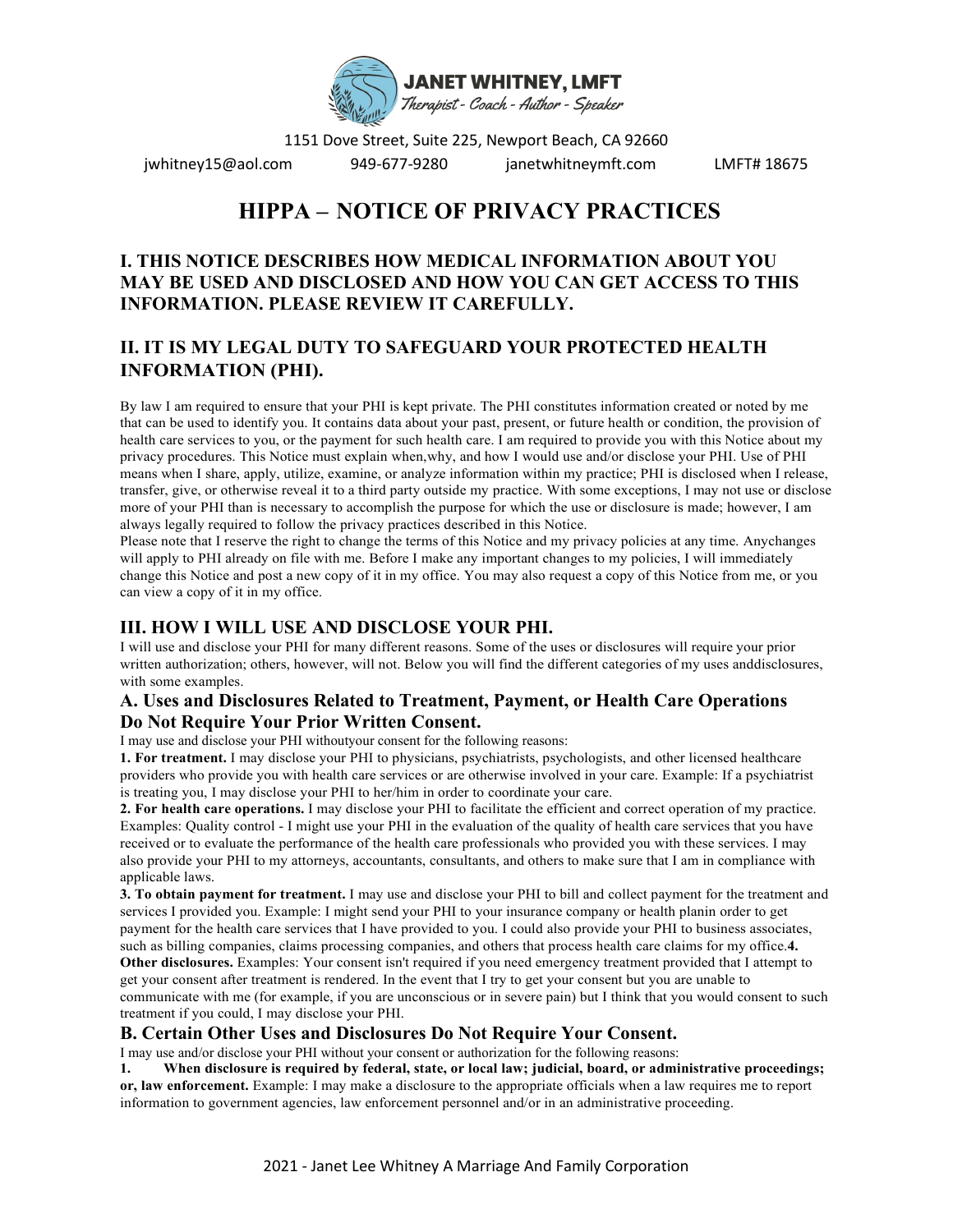

1151 Dove Street, Suite 225, Newport Beach, CA 92660 jwhitney15@aol.com 949-677-9280 janetwhitneymft.com LMFT# 18675

## **HIPPA – NOTICE OF PRIVACY PRACTICES**

## **I. THIS NOTICE DESCRIBES HOW MEDICAL INFORMATION ABOUT YOU MAY BE USED AND DISCLOSED AND HOW YOU CAN GET ACCESS TO THIS INFORMATION. PLEASE REVIEW IT CAREFULLY.**

## **II. IT IS MY LEGAL DUTY TO SAFEGUARD YOUR PROTECTED HEALTH INFORMATION (PHI).**

By law I am required to ensure that your PHI is kept private. The PHI constitutes information created or noted by me that can be used to identify you. It contains data about your past, present, or future health or condition, the provision of health care services to you, or the payment for such health care. I am required to provide you with this Notice about my privacy procedures. This Notice must explain when,why, and how I would use and/or disclose your PHI. Use of PHI means when I share, apply, utilize, examine, or analyze information within my practice; PHI is disclosed when I release, transfer, give, or otherwise reveal it to a third party outside my practice. With some exceptions, I may not use or disclose more of your PHI than is necessary to accomplish the purpose for which the use or disclosure is made; however, I am always legally required to follow the privacy practices described in this Notice.

Please note that I reserve the right to change the terms of this Notice and my privacy policies at any time. Anychanges will apply to PHI already on file with me. Before I make any important changes to my policies, I will immediately change this Notice and post a new copy of it in my office. You may also request a copy of this Notice from me, or you can view a copy of it in my office.

## **III. HOW I WILL USE AND DISCLOSE YOUR PHI.**

I will use and disclose your PHI for many different reasons. Some of the uses or disclosures will require your prior written authorization; others, however, will not. Below you will find the different categories of my uses anddisclosures, with some examples.

#### **A. Uses and Disclosures Related to Treatment, Payment, or Health Care Operations Do Not Require Your Prior Written Consent.**

I may use and disclose your PHI withoutyour consent for the following reasons:

**1. For treatment.** I may disclose your PHI to physicians, psychiatrists, psychologists, and other licensed healthcare providers who provide you with health care services or are otherwise involved in your care. Example: If a psychiatrist is treating you, I may disclose your PHI to her/him in order to coordinate your care.

**2. For health care operations.** I may disclose your PHI to facilitate the efficient and correct operation of my practice. Examples: Quality control - I might use your PHI in the evaluation of the quality of health care services that you have received or to evaluate the performance of the health care professionals who provided you with these services. I may also provide your PHI to my attorneys, accountants, consultants, and others to make sure that I am in compliance with applicable laws.

**3. To obtain payment for treatment.** I may use and disclose your PHI to bill and collect payment for the treatment and services I provided you. Example: I might send your PHI to your insurance company or health planin order to get payment for the health care services that I have provided to you. I could also provide your PHI to business associates, such as billing companies, claims processing companies, and others that process health care claims for my office.**4.** 

**Other disclosures.** Examples: Your consent isn't required if you need emergency treatment provided that I attempt to get your consent after treatment is rendered. In the event that I try to get your consent but you are unable to communicate with me (for example, if you are unconscious or in severe pain) but I think that you would consent to such treatment if you could, I may disclose your PHI.

### **B. Certain Other Uses and Disclosures Do Not Require Your Consent.**

I may use and/or disclose your PHI without your consent or authorization for the following reasons:

**1. When disclosure is required by federal, state, or local law; judicial, board, or administrative proceedings; or, law enforcement.** Example: I may make a disclosure to the appropriate officials when a law requires me to report information to government agencies, law enforcement personnel and/or in an administrative proceeding.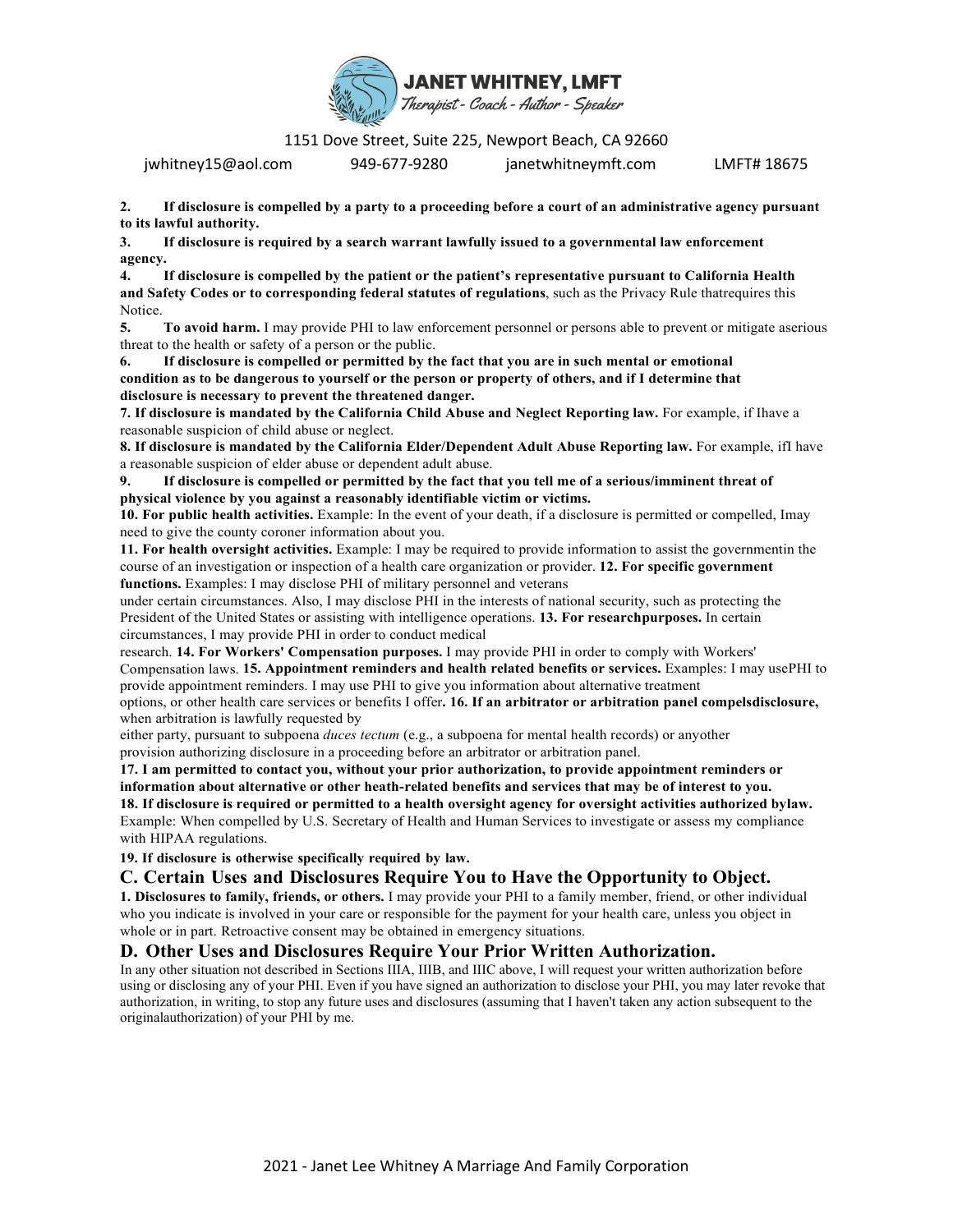

1151 Dove Street, Suite 225, Newport Beach, CA 92660

jwhitney15@aol.com 949-677-9280 janetwhitneymft.com LMFT# 18675

**2. If disclosure is compelled by a party to a proceeding before a court of an administrative agency pursuant to its lawful authority.**

**3. If disclosure is required by a search warrant lawfully issued to a governmental law enforcement agency.**

**4. If disclosure is compelled by the patient or the patient's representative pursuant to California Health and Safety Codes or to corresponding federal statutes of regulations**, such as the Privacy Rule thatrequires this Notice.

**5. To avoid harm.** I may provide PHI to law enforcement personnel or persons able to prevent or mitigate aserious threat to the health or safety of a person or the public.

**6. If disclosure is compelled or permitted by the fact that you are in such mental or emotional condition as to be dangerous to yourself or the person or property of others, and if I determine that disclosure is necessary to prevent the threatened danger.**

**7. If disclosure is mandated by the California Child Abuse and Neglect Reporting law.** For example, if Ihave a reasonable suspicion of child abuse or neglect.

**8. If disclosure is mandated by the California Elder/Dependent Adult Abuse Reporting law.** For example, ifI have a reasonable suspicion of elder abuse or dependent adult abuse.

**9. If disclosure is compelled or permitted by the fact that you tell me of a serious/imminent threat of physical violence by you against a reasonably identifiable victim or victims.**

**10. For public health activities.** Example: In the event of your death, if a disclosure is permitted or compelled, Imay need to give the county coroner information about you.

**11. For health oversight activities.** Example: I may be required to provide information to assist the governmentin the course of an investigation or inspection of a health care organization or provider. **12. For specific government functions.** Examples: I may disclose PHI of military personnel and veterans

under certain circumstances. Also, I may disclose PHI in the interests of national security, such as protecting the President of the United States or assisting with intelligence operations. **13. For researchpurposes.** In certain circumstances, I may provide PHI in order to conduct medical

research. **14. For Workers' Compensation purposes.** I may provide PHI in order to comply with Workers' Compensation laws. **15. Appointment reminders and health related benefits or services.** Examples: I may usePHI to provide appointment reminders. I may use PHI to give you information about alternative treatment options, or other health care services or benefits I offer**. 16. If an arbitrator or arbitration panel compelsdisclosure,** 

when arbitration is lawfully requested by

either party, pursuant to subpoena *duces tectum* (e.g., a subpoena for mental health records) or anyother provision authorizing disclosure in a proceeding before an arbitrator or arbitration panel.

**17. I am permitted to contact you, without your prior authorization, to provide appointment reminders or information about alternative or other heath-related benefits and services that may be of interest to you.**

**18. If disclosure is required or permitted to a health oversight agency for oversight activities authorized bylaw.**  Example: When compelled by U.S. Secretary of Health and Human Services to investigate or assess my compliance with HIPAA regulations.

**19. If disclosure is otherwise specifically required by law.**

#### **C. Certain Uses and Disclosures Require You to Have the Opportunity to Object.**

**1. Disclosures to family, friends, or others.** I may provide your PHI to a family member, friend, or other individual who you indicate is involved in your care or responsible for the payment for your health care, unless you object in whole or in part. Retroactive consent may be obtained in emergency situations.

#### **D. Other Uses and Disclosures Require Your Prior Written Authorization.**

In any other situation not described in Sections IIIA, IIIB, and IIIC above, I will request your written authorization before using or disclosing any of your PHI. Even if you have signed an authorization to disclose your PHI, you may later revoke that authorization, in writing, to stop any future uses and disclosures (assuming that I haven't taken any action subsequent to the originalauthorization) of your PHI by me.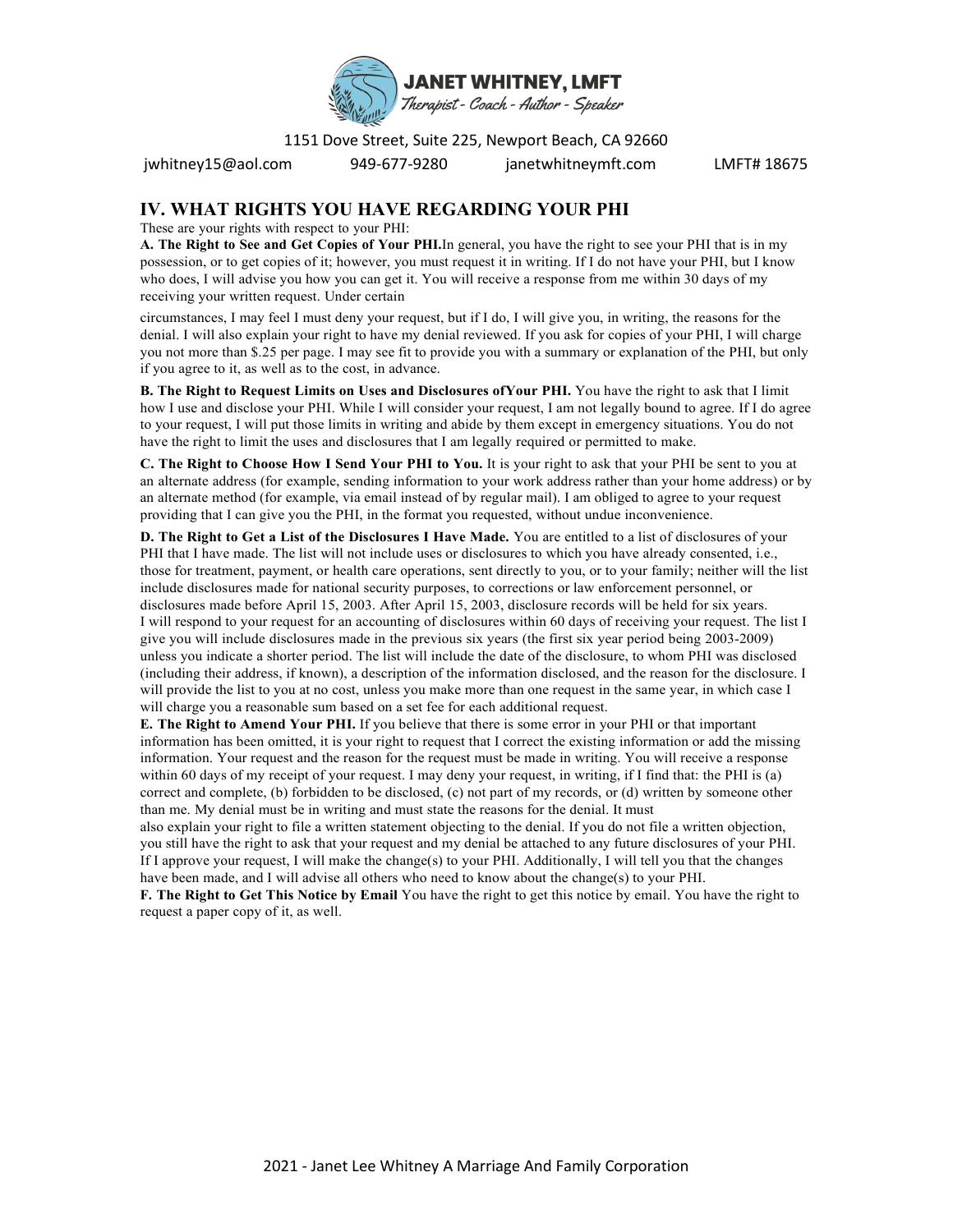

1151 Dove Street, Suite 225, Newport Beach, CA 92660

jwhitney15@aol.com 949-677-9280 janetwhitneymft.com LMFT# 18675

## **IV. WHAT RIGHTS YOU HAVE REGARDING YOUR PHI**

These are your rights with respect to your PHI:

**A. The Right to See and Get Copies of Your PHI.**In general, you have the right to see your PHI that is in my possession, or to get copies of it; however, you must request it in writing. If I do not have your PHI, but I know who does, I will advise you how you can get it. You will receive a response from me within 30 days of my receiving your written request. Under certain

circumstances, I may feel I must deny your request, but if I do, I will give you, in writing, the reasons for the denial. I will also explain your right to have my denial reviewed. If you ask for copies of your PHI, I will charge you not more than \$.25 per page. I may see fit to provide you with a summary or explanation of the PHI, but only if you agree to it, as well as to the cost, in advance.

**B. The Right to Request Limits on Uses and Disclosures ofYour PHI.** You have the right to ask that I limit how I use and disclose your PHI. While I will consider your request, I am not legally bound to agree. If I do agree to your request, I will put those limits in writing and abide by them except in emergency situations. You do not have the right to limit the uses and disclosures that I am legally required or permitted to make.

**C. The Right to Choose How I Send Your PHI to You.** It is your right to ask that your PHI be sent to you at an alternate address (for example, sending information to your work address rather than your home address) or by an alternate method (for example, via email instead of by regular mail). I am obliged to agree to your request providing that I can give you the PHI, in the format you requested, without undue inconvenience.

**D. The Right to Get a List of the Disclosures I Have Made.** You are entitled to a list of disclosures of your PHI that I have made. The list will not include uses or disclosures to which you have already consented, i.e., those for treatment, payment, or health care operations, sent directly to you, or to your family; neither will the list include disclosures made for national security purposes, to corrections or law enforcement personnel, or disclosures made before April 15, 2003. After April 15, 2003, disclosure records will be held for six years. I will respond to your request for an accounting of disclosures within 60 days of receiving your request. The list I give you will include disclosures made in the previous six years (the first six year period being 2003-2009) unless you indicate a shorter period. The list will include the date of the disclosure, to whom PHI was disclosed (including their address, if known), a description of the information disclosed, and the reason for the disclosure. I will provide the list to you at no cost, unless you make more than one request in the same year, in which case I will charge you a reasonable sum based on a set fee for each additional request.

**E. The Right to Amend Your PHI.** If you believe that there is some error in your PHI or that important information has been omitted, it is your right to request that I correct the existing information or add the missing information. Your request and the reason for the request must be made in writing. You will receive a response within 60 days of my receipt of your request. I may deny your request, in writing, if I find that: the PHI is (a) correct and complete, (b) forbidden to be disclosed, (c) not part of my records, or (d) written by someone other than me. My denial must be in writing and must state the reasons for the denial. It must

also explain your right to file a written statement objecting to the denial. If you do not file a written objection, you still have the right to ask that your request and my denial be attached to any future disclosures of your PHI. If I approve your request, I will make the change(s) to your PHI. Additionally, I will tell you that the changes have been made, and I will advise all others who need to know about the change(s) to your PHI.

**F. The Right to Get This Notice by Email** You have the right to get this notice by email. You have the right to request a paper copy of it, as well.